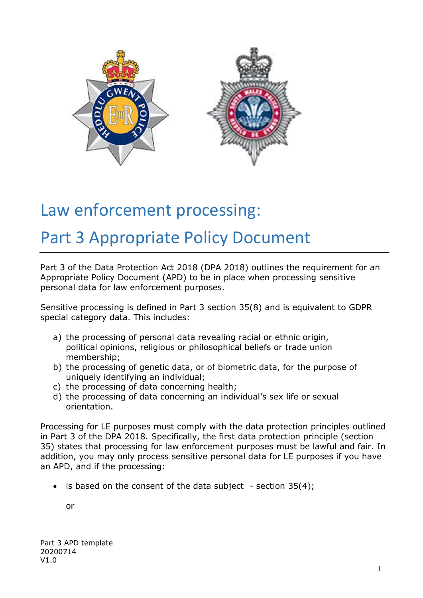

# Law enforcement processing:

# Part 3 Appropriate Policy Document

Part 3 of the Data Protection Act 2018 (DPA 2018) outlines the requirement for an Appropriate Policy Document (APD) to be in place when processing sensitive personal data for law enforcement purposes.

Sensitive processing is defined in Part 3 section 35(8) and is equivalent to GDPR special category data. This includes:

- a) the processing of personal data revealing racial or ethnic origin, political opinions, religious or philosophical beliefs or trade union membership;
- b) the processing of genetic data, or of biometric data, for the purpose of uniquely identifying an individual;
- c) the processing of data concerning health;
- d) the processing of data concerning an individual's sex life or sexual orientation.

Processing for LE purposes must comply with the data protection principles outlined in Part 3 of the DPA 2018. Specifically, the first data protection principle (section 35) states that processing for law enforcement purposes must be lawful and fair. In addition, you may only process sensitive personal data for LE purposes if you have an APD, and if the processing:

is based on the consent of the data subject  $-$  section 35(4);

or

Part 3 APD template 20200714 V1.0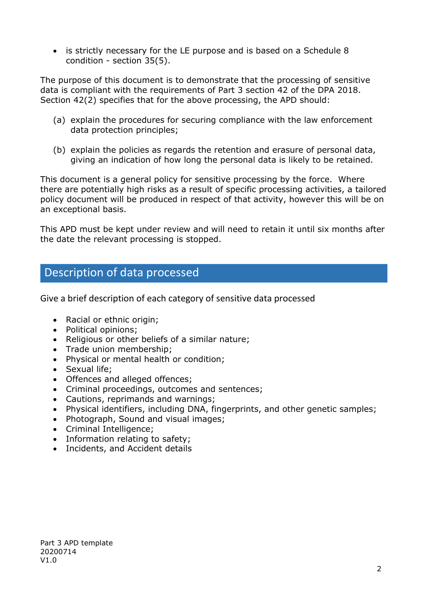• is strictly necessary for the LE purpose and is based on a Schedule 8 condition - section 35(5).

The purpose of this document is to demonstrate that the processing of sensitive data is compliant with the requirements of Part 3 section 42 of the DPA 2018. Section 42(2) specifies that for the above processing, the APD should:

- (a) explain the procedures for securing compliance with the law enforcement data protection principles;
- (b) explain the policies as regards the retention and erasure of personal data, giving an indication of how long the personal data is likely to be retained.

This document is a general policy for sensitive processing by the force. Where there are potentially high risks as a result of specific processing activities, a tailored policy document will be produced in respect of that activity, however this will be on an exceptional basis.

This APD must be kept under review and will need to retain it until six months after the date the relevant processing is stopped.

### Description of data processed

Give a brief description of each category of sensitive data processed

- Racial or ethnic origin;
- Political opinions;
- Religious or other beliefs of a similar nature;
- Trade union membership;
- Physical or mental health or condition;
- Sexual life;
- Offences and alleged offences;
- Criminal proceedings, outcomes and sentences;
- Cautions, reprimands and warnings;
- Physical identifiers, including DNA, fingerprints, and other genetic samples;
- Photograph, Sound and visual images;
- Criminal Intelligence;
- Information relating to safety;
- Incidents, and Accident details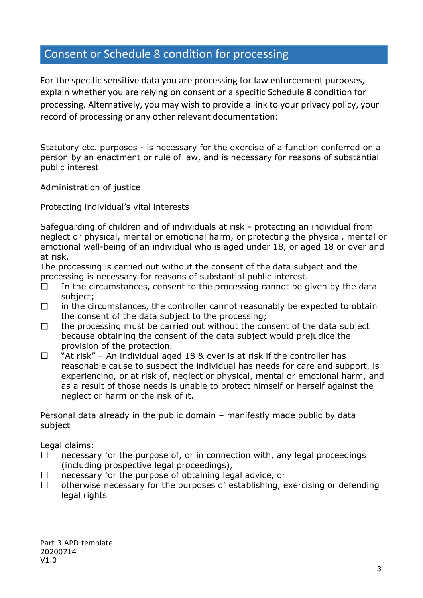# Consent or Schedule 8 condition for processing

For the specific sensitive data you are processing for law enforcement purposes, explain whether you are relying on consent or a specific Schedule 8 condition for processing. Alternatively, you may wish to provide a link to your privacy policy, your record of processing or any other relevant documentation:

Statutory etc. purposes - is necessary for the exercise of a function conferred on a person by an enactment or rule of law, and is necessary for reasons of substantial public interest

Administration of justice

Protecting individual's vital interests

Safeguarding of children and of individuals at risk - protecting an individual from neglect or physical, mental or emotional harm, or protecting the physical, mental or emotional well-being of an individual who is aged under 18, or aged 18 or over and at risk.

The processing is carried out without the consent of the data subject and the processing is necessary for reasons of substantial public interest.

- In the circumstances, consent to the processing cannot be given by the data  $\Box$ subject;
- $\Box$ in the circumstances, the controller cannot reasonably be expected to obtain the consent of the data subject to the processing;
- $\Box$ the processing must be carried out without the consent of the data subject because obtaining the consent of the data subject would prejudice the provision of the protection.
- "At risk" An individual aged 18 & over is at risk if the controller has  $\Box$ reasonable cause to suspect the individual has needs for care and support, is experiencing, or at risk of, neglect or physical, mental or emotional harm, and as a result of those needs is unable to protect himself or herself against the neglect or harm or the risk of it.

Personal data already in the public domain – manifestly made public by data subject

Legal claims:

- necessary for the purpose of, or in connection with, any legal proceedings  $\Box$ (including prospective legal proceedings),
- necessary for the purpose of obtaining legal advice, or  $\Box$
- $\Box$ otherwise necessary for the purposes of establishing, exercising or defending legal rights

Part 3 APD template 20200714 V1.0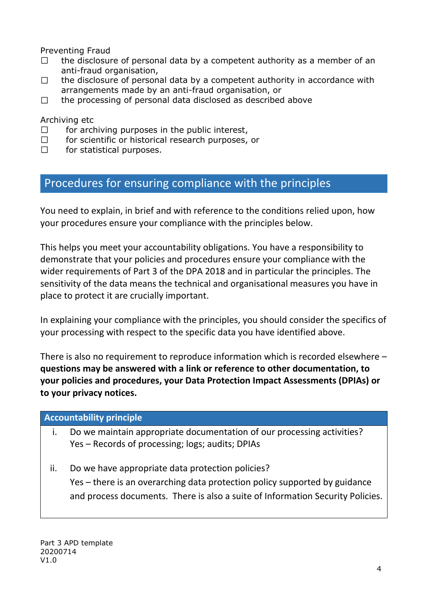Preventing Fraud

- $\Box$ the disclosure of personal data by a competent authority as a member of an anti-fraud organisation,
- the disclosure of personal data by a competent authority in accordance with  $\Box$ arrangements made by an anti-fraud organisation, or
- the processing of personal data disclosed as described above  $\Box$

Archiving etc

- $\Box$ for archiving purposes in the public interest,
- $\Box$ for scientific or historical research purposes, or
- $\Box$ for statistical purposes.

## Procedures for ensuring compliance with the principles

You need to explain, in brief and with reference to the conditions relied upon, how your procedures ensure your compliance with the principles below.

This helps you meet your accountability obligations. You have a responsibility to demonstrate that your policies and procedures ensure your compliance with the wider requirements of Part 3 of the DPA 2018 and in particular the principles. The sensitivity of the data means the technical and organisational measures you have in place to protect it are crucially important.

In explaining your compliance with the principles, you should consider the specifics of your processing with respect to the specific data you have identified above.

There is also no requirement to reproduce information which is recorded elsewhere  $$ **questions may be answered with a link or reference to other documentation, to your policies and procedures, your Data Protection Impact Assessments (DPIAs) or to your privacy notices.** 

#### **Accountability principle**

i. Do we maintain appropriate documentation of our processing activities? Yes – Records of processing; logs; audits; DPIAs

ii. Do we have appropriate data protection policies? Yes – there is an overarching data protection policy supported by guidance and process documents. There is also a suite of Information Security Policies.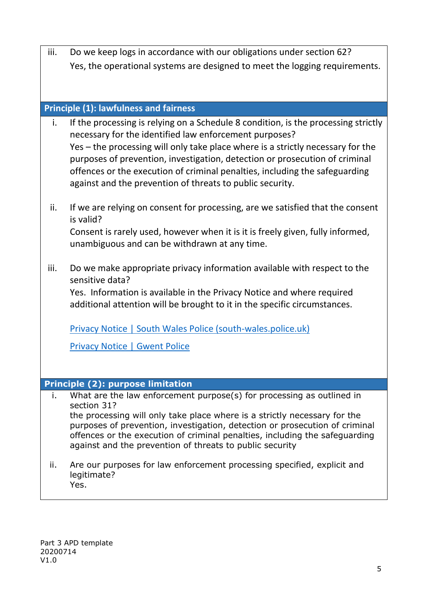iii. Do we keep logs in accordance with our obligations under section 62? Yes, the operational systems are designed to meet the logging requirements.

#### **Principle (1): lawfulness and fairness**

- i. If the processing is relying on a Schedule 8 condition, is the processing strictly necessary for the identified law enforcement purposes? Yes – the processing will only take place where is a strictly necessary for the purposes of prevention, investigation, detection or prosecution of criminal offences or the execution of criminal penalties, including the safeguarding against and the prevention of threats to public security.
- ii. If we are relying on consent for processing, are we satisfied that the consent is valid? Consent is rarely used, however when it is it is freely given, fully informed, unambiguous and can be withdrawn at any time.
- iii. Do we make appropriate privacy information available with respect to the sensitive data?

Yes. Information is available in the Privacy Notice and where required additional attention will be brought to it in the specific circumstances.

[Privacy Notice | South Wales Police \(south-wales.police.uk\)](https://www.south-wales.police.uk/hyg/southwales/privacy-notice/)

[Privacy Notice | Gwent Police](https://www.gwent.police.uk/hyg/fpngwent/privacy-notice/)

#### **Principle (2): purpose limitation**

- i. What are the law enforcement purpose(s) for processing as outlined in section 31? the processing will only take place where is a strictly necessary for the purposes of prevention, investigation, detection or prosecution of criminal offences or the execution of criminal penalties, including the safeguarding against and the prevention of threats to public security
- ii. Are our purposes for law enforcement processing specified, explicit and legitimate? Yes.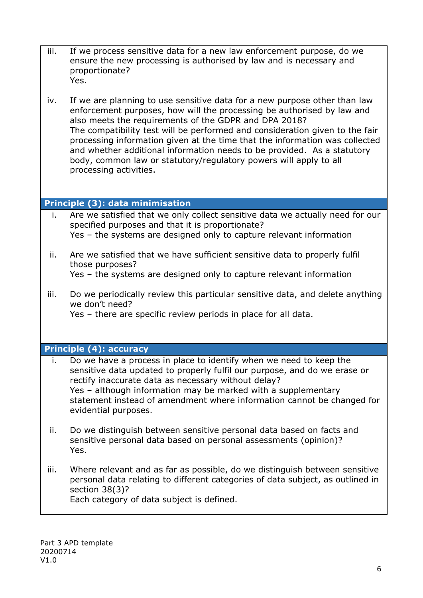- iii. If we process sensitive data for a new law enforcement purpose, do we ensure the new processing is authorised by law and is necessary and proportionate? Yes.
- iv. If we are planning to use sensitive data for a new purpose other than law enforcement purposes, how will the processing be authorised by law and also meets the requirements of the GDPR and DPA 2018? The compatibility test will be performed and consideration given to the fair processing information given at the time that the information was collected and whether additional information needs to be provided. As a statutory body, common law or statutory/regulatory powers will apply to all processing activities.

#### **Principle (3): data minimisation**

- i. Are we satisfied that we only collect sensitive data we actually need for our specified purposes and that it is proportionate? Yes – the systems are designed only to capture relevant information
- ii. Are we satisfied that we have sufficient sensitive data to properly fulfil those purposes? Yes – the systems are designed only to capture relevant information
- iii. Do we periodically review this particular sensitive data, and delete anything we don't need?

Yes – there are specific review periods in place for all data.

#### **Principle (4): accuracy**

- i. Do we have a process in place to identify when we need to keep the sensitive data updated to properly fulfil our purpose, and do we erase or rectify inaccurate data as necessary without delay? Yes – although information may be marked with a supplementary statement instead of amendment where information cannot be changed for evidential purposes.
- ii. Do we distinguish between sensitive personal data based on facts and sensitive personal data based on personal assessments (opinion)? Yes.
- iii. Where relevant and as far as possible, do we distinguish between sensitive personal data relating to different categories of data subject, as outlined in section 38(3)? Each category of data subject is defined.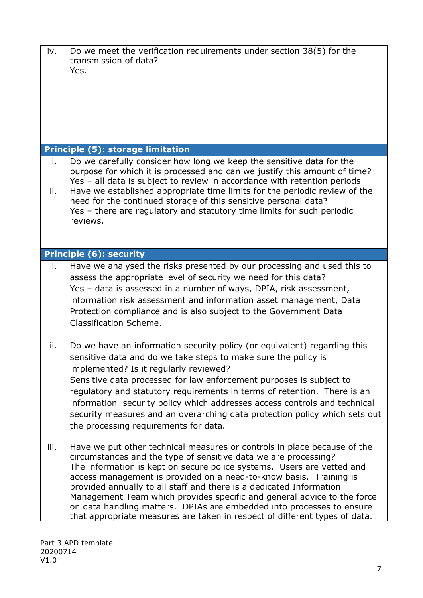iv. Do we meet the verification requirements under section 38(5) for the transmission of data? Yes.

#### **Principle (5): storage limitation**

- i. Do we carefully consider how long we keep the sensitive data for the purpose for which it is processed and can we justify this amount of time? Yes – all data is subject to review in accordance with retention periods
- ii. Have we established appropriate time limits for the periodic review of the need for the continued storage of this sensitive personal data? Yes – there are regulatory and statutory time limits for such periodic reviews.

#### **Principle (6): security**

- i. Have we analysed the risks presented by our processing and used this to assess the appropriate level of security we need for this data? Yes – data is assessed in a number of ways, DPIA, risk assessment, information risk assessment and information asset management, Data Protection compliance and is also subject to the Government Data Classification Scheme.
- ii. Do we have an information security policy (or equivalent) regarding this sensitive data and do we take steps to make sure the policy is implemented? Is it regularly reviewed? Sensitive data processed for law enforcement purposes is subject to regulatory and statutory requirements in terms of retention. There is an information security policy which addresses access controls and technical security measures and an overarching data protection policy which sets out the processing requirements for data.
- iii. Have we put other technical measures or controls in place because of the circumstances and the type of sensitive data we are processing? The information is kept on secure police systems. Users are vetted and access management is provided on a need-to-know basis. Training is provided annually to all staff and there is a dedicated Information Management Team which provides specific and general advice to the force on data handling matters. DPIAs are embedded into processes to ensure that appropriate measures are taken in respect of different types of data.